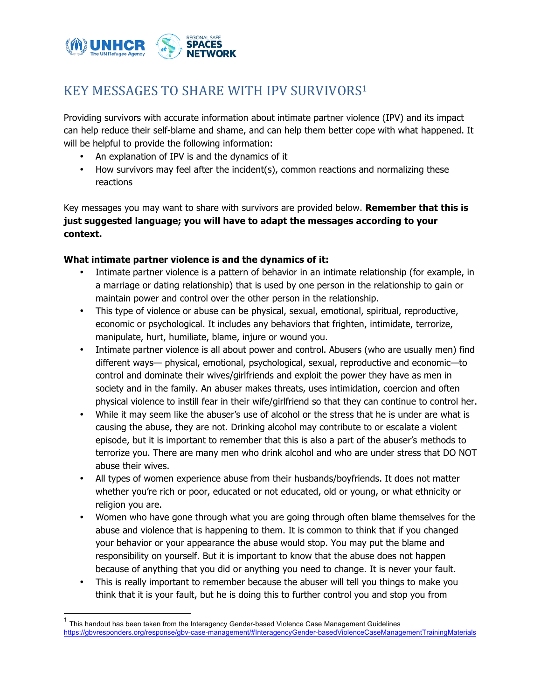

## KEY MESSAGES TO SHARE WITH IPV SURVIVORS<sup>1</sup>

Providing survivors with accurate information about intimate partner violence (IPV) and its impact can help reduce their self-blame and shame, and can help them better cope with what happened. It will be helpful to provide the following information:

- An explanation of IPV is and the dynamics of it
- How survivors may feel after the incident(s), common reactions and normalizing these reactions

Key messages you may want to share with survivors are provided below. **Remember that this is just suggested language; you will have to adapt the messages according to your context.**

## **What intimate partner violence is and the dynamics of it:**

- Intimate partner violence is a pattern of behavior in an intimate relationship (for example, in a marriage or dating relationship) that is used by one person in the relationship to gain or maintain power and control over the other person in the relationship.
- This type of violence or abuse can be physical, sexual, emotional, spiritual, reproductive, economic or psychological. It includes any behaviors that frighten, intimidate, terrorize, manipulate, hurt, humiliate, blame, injure or wound you.
- Intimate partner violence is all about power and control. Abusers (who are usually men) find different ways— physical, emotional, psychological, sexual, reproductive and economic—to control and dominate their wives/girlfriends and exploit the power they have as men in society and in the family. An abuser makes threats, uses intimidation, coercion and often physical violence to instill fear in their wife/girlfriend so that they can continue to control her.
- While it may seem like the abuser's use of alcohol or the stress that he is under are what is causing the abuse, they are not. Drinking alcohol may contribute to or escalate a violent episode, but it is important to remember that this is also a part of the abuser's methods to terrorize you. There are many men who drink alcohol and who are under stress that DO NOT abuse their wives.
- All types of women experience abuse from their husbands/boyfriends. It does not matter whether you're rich or poor, educated or not educated, old or young, or what ethnicity or religion you are.
- Women who have gone through what you are going through often blame themselves for the abuse and violence that is happening to them. It is common to think that if you changed your behavior or your appearance the abuse would stop. You may put the blame and responsibility on yourself. But it is important to know that the abuse does not happen because of anything that you did or anything you need to change. It is never your fault.
- This is really important to remember because the abuser will tell you things to make you think that it is your fault, but he is doing this to further control you and stop you from

 <sup>1</sup> This handout has been taken from the Interagency Gender-based Violence Case Management Guidelines https://gbvresponders.org/response/gbv-case-management/#InteragencyGender-basedViolenceCaseManagementTrainingMaterials